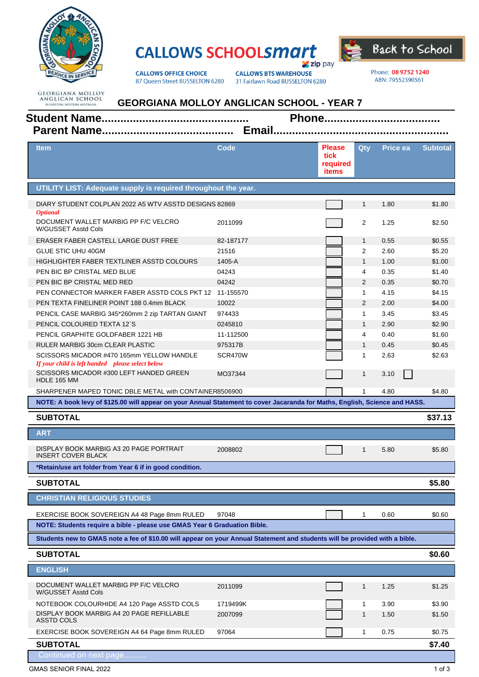

## **CALLOWS SCHOOLSMATT Zip** pay



**CALLOWS OFFICE CHOICE** 87 Queen Street BUSSELTON 6280 **CALLOWS BTS WAREHOUSE** 31 Fairlawn Road BUSSELTON 6280 Phone: 08 9752 1240 ABN: 79552390561

**GEORGIANA MOLLOY<br>ANGLICAN SCHOOL<br>BUSSELTON, WESTERN AUSTRALIA** 

| <b>GEORGIANA MOLLOY ANGLICAN SCHOOL - YEAR 7</b> |  |  |  |
|--------------------------------------------------|--|--|--|
|--------------------------------------------------|--|--|--|

| Item                                                                                                                        | Code      | <b>Please</b><br>tick<br>required<br>items | Qty          | <b>Price ea</b> | <b>Subtotal</b> |
|-----------------------------------------------------------------------------------------------------------------------------|-----------|--------------------------------------------|--------------|-----------------|-----------------|
| UTILITY LIST: Adequate supply is required throughout the year.                                                              |           |                                            |              |                 |                 |
| DIARY STUDENT COLPLAN 2022 A5 WTV ASSTD DESIGNS 82869<br><b>Optional</b>                                                    |           |                                            | $\mathbf{1}$ | 1.80            | \$1.80          |
| DOCUMENT WALLET MARBIG PP F/C VELCRO<br>W/GUSSET Asstd Cols                                                                 | 2011099   |                                            | 2            | 1.25            | \$2.50          |
| ERASER FABER CASTELL LARGE DUST FREE                                                                                        | 82-187177 |                                            | $\mathbf{1}$ | 0.55            | \$0.55          |
| <b>GLUE STIC UHU 40GM</b>                                                                                                   | 21516     |                                            | 2            | 2.60            | \$5.20          |
| HIGHLIGHTER FABER TEXTLINER ASSTD COLOURS                                                                                   | 1405-A    |                                            | $\mathbf{1}$ | 1.00            | \$1.00          |
| PEN BIC BP CRISTAL MED BLUE                                                                                                 | 04243     |                                            | 4            | 0.35            | \$1.40          |
| PEN BIC BP CRISTAL MED RED                                                                                                  | 04242     |                                            | 2            | 0.35            | \$0.70          |
| PEN CONNECTOR MARKER FABER ASSTD COLS PKT 12 11-155570                                                                      |           |                                            | $\mathbf{1}$ | 4.15            | \$4.15          |
| PEN TEXTA FINELINER POINT 188 0.4mm BLACK                                                                                   | 10022     |                                            | 2            | 2.00            | \$4.00          |
| PENCIL CASE MARBIG 345*260mm 2 zip TARTAN GIANT                                                                             | 974433    |                                            | $\mathbf{1}$ | 3.45            | \$3.45          |
| PENCIL COLOURED TEXTA 12'S                                                                                                  | 0245810   |                                            | $\mathbf{1}$ | 2.90            | \$2.90          |
| PENCIL GRAPHITE GOLDFABER 1221 HB                                                                                           | 11-112500 |                                            | 4            | 0.40            | \$1.60          |
| <b>RULER MARBIG 30cm CLEAR PLASTIC</b>                                                                                      | 975317B   |                                            | $\mathbf{1}$ | 0.45            | \$0.45          |
| SCISSORS MICADOR #470 165mm YELLOW HANDLE<br>If your child is left handed please select below                               | SCR470W   |                                            | $\mathbf{1}$ | 2.63            | \$2.63          |
| SCISSORS MICADOR #300 LEFT HANDED GREEN<br>HDLE 165 MM                                                                      | MO37344   |                                            | $\mathbf{1}$ | 3.10            |                 |
| SHARPENER MAPED TONIC DBLE METAL with CONTAINER8506900                                                                      |           |                                            | $\mathbf 1$  | 4.80            | \$4.80          |
| NOTE: A book levy of \$125.00 will appear on your Annual Statement to cover Jacaranda for Maths, English, Science and HASS. |           |                                            |              |                 |                 |
|                                                                                                                             |           |                                            |              |                 |                 |
| <b>SUBTOTAL</b>                                                                                                             |           |                                            |              |                 | \$37.13         |
| <b>ART</b>                                                                                                                  |           |                                            |              |                 |                 |
| DISPLAY BOOK MARBIG A3 20 PAGE PORTRAIT<br><b>INSERT COVER BLACK</b>                                                        | 2008802   |                                            | $\mathbf{1}$ | 5.80            | \$5.80          |
| *Retain/use art folder from Year 6 if in good condition.                                                                    |           |                                            |              |                 |                 |
| <b>SUBTOTAL</b>                                                                                                             |           |                                            |              |                 | \$5.80          |
| <b>CHRISTIAN RELIGIOUS STUDIES</b>                                                                                          |           |                                            |              |                 |                 |
| EXERCISE BOOK SOVEREIGN A4 48 Page 8mm RULED                                                                                | 97048     |                                            | 1            | 0.60            | \$0.60          |
| NOTE: Students require a bible - please use GMAS Year 6 Graduation Bible.                                                   |           |                                            |              |                 |                 |
| Students new to GMAS note a fee of \$10.00 will appear on your Annual Statement and students will be provided with a bible. |           |                                            |              |                 |                 |
| <b>SUBTOTAL</b>                                                                                                             |           |                                            |              |                 | \$0.60          |
| <b>ENGLISH</b>                                                                                                              |           |                                            |              |                 |                 |
| DOCUMENT WALLET MARBIG PP F/C VELCRO<br>W/GUSSET Asstd Cols                                                                 | 2011099   |                                            | $\mathbf{1}$ | 1.25            | \$1.25          |
|                                                                                                                             | 1719499K  |                                            | 1            | 3.90            | \$3.90          |
| NOTEBOOK COLOURHIDE A4 120 Page ASSTD COLS<br>DISPLAY BOOK MARBIG A4 20 PAGE REFILLABLE<br>ASSTD COLS                       | 2007099   |                                            | $\mathbf{1}$ | 1.50            | \$1.50          |
| EXERCISE BOOK SOVEREIGN A4 64 Page 8mm RULED                                                                                | 97064     |                                            | $\mathbf{1}$ | 0.75            | \$0.75          |
| <b>SUBTOTAL</b>                                                                                                             |           |                                            |              |                 | \$7.40          |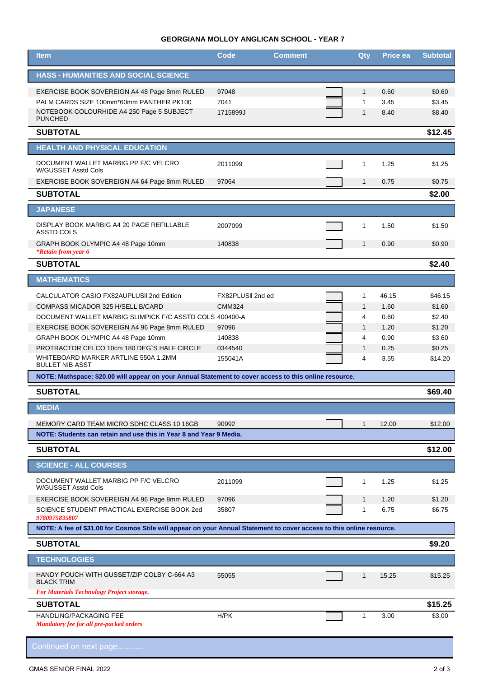## **GEORGIANA MOLLOY ANGLICAN SCHOOL - YEAR 7**

| <b>Item</b>                                                                                                           | Code              | <b>Comment</b> | Qty          | <b>Price ea</b> | <b>Subtotal</b> |
|-----------------------------------------------------------------------------------------------------------------------|-------------------|----------------|--------------|-----------------|-----------------|
| <b>HASS - HUMANITIES AND SOCIAL SCIENCE</b>                                                                           |                   |                |              |                 |                 |
| EXERCISE BOOK SOVEREIGN A4 48 Page 8mm RULED                                                                          | 97048             |                | $\mathbf{1}$ | 0.60            | \$0.60          |
| PALM CARDS SIZE 100mm*60mm PANTHER PK100                                                                              | 7041              |                | $\mathbf{1}$ | 3.45            | \$3.45          |
| NOTEBOOK COLOURHIDE A4 250 Page 5 SUBJECT<br><b>PUNCHED</b>                                                           | 1715899J          |                | $\mathbf{1}$ | 8.40            | \$8.40          |
| <b>SUBTOTAL</b>                                                                                                       |                   |                |              |                 | \$12.45         |
| <b>HEALTH AND PHYSICAL EDUCATION</b>                                                                                  |                   |                |              |                 |                 |
| DOCUMENT WALLET MARBIG PP F/C VELCRO<br>W/GUSSET Asstd Cols                                                           | 2011099           |                | $\mathbf{1}$ | 1.25            | \$1.25          |
| EXERCISE BOOK SOVEREIGN A4 64 Page 8mm RULED                                                                          | 97064             |                | $\mathbf{1}$ | 0.75            | \$0.75          |
| <b>SUBTOTAL</b>                                                                                                       |                   |                |              |                 | \$2.00          |
| <b>JAPANESE</b>                                                                                                       |                   |                |              |                 |                 |
| DISPLAY BOOK MARBIG A4 20 PAGE REFILLABLE<br><b>ASSTD COLS</b>                                                        | 2007099           |                | 1            | 1.50            | \$1.50          |
| GRAPH BOOK OLYMPIC A4 48 Page 10mm<br><i>*Retain from year 6</i>                                                      | 140838            |                | $\mathbf{1}$ | 0.90            | \$0.90          |
| <b>SUBTOTAL</b>                                                                                                       |                   |                |              |                 | \$2.40          |
| <b>MATHEMATICS</b>                                                                                                    |                   |                |              |                 |                 |
| CALCULATOR CASIO FX82AUPLUSII 2nd Edition                                                                             | FX82PLUSII 2nd ed |                | 1            | 46.15           | \$46.15         |
| COMPASS MICADOR 325 H/SELL B/CARD                                                                                     | <b>CMM324</b>     |                | $\mathbf{1}$ | 1.60            | \$1.60          |
| DOCUMENT WALLET MARBIG SLIMPICK F/C ASSTD COLS 400400-A                                                               |                   |                | 4            | 0.60            | \$2.40          |
| EXERCISE BOOK SOVEREIGN A4 96 Page 8mm RULED                                                                          | 97096             |                | $\mathbf{1}$ | 1.20            | \$1.20          |
| GRAPH BOOK OLYMPIC A4 48 Page 10mm                                                                                    | 140838            |                | 4            | 0.90            | \$3.60          |
| PROTRACTOR CELCO 10cm 180 DEG'S HALF CIRCLE                                                                           | 0344540           |                | $\mathbf{1}$ | 0.25            | \$0.25          |
| WHITEBOARD MARKER ARTLINE 550A 1.2MM<br><b>BULLET NIB ASST</b>                                                        | 155041A           |                | 4            | 3.55            | \$14.20         |
| NOTE: Mathspace: \$20.00 will appear on your Annual Statement to cover access to this online resource.                |                   |                |              |                 |                 |
| <b>SUBTOTAL</b>                                                                                                       |                   |                |              |                 | \$69.40         |
| <b>MEDIA</b>                                                                                                          |                   |                |              |                 |                 |
| MEMORY CARD TEAM MICRO SDHC CLASS 10 16GB                                                                             | 90992             |                | 1            | 12.00           | \$12.00         |
| NOTE: Students can retain and use this in Year 8 and Year 9 Media.                                                    |                   |                |              |                 |                 |
| <b>SUBTOTAL</b>                                                                                                       |                   |                |              |                 | \$12.00         |
| <b>SCIENCE - ALL COURSES</b>                                                                                          |                   |                |              |                 |                 |
| DOCUMENT WALLET MARBIG PP F/C VELCRO<br>W/GUSSET Asstd Cols                                                           | 2011099           |                | 1            | 1.25            | \$1.25          |
| EXERCISE BOOK SOVEREIGN A4 96 Page 8mm RULED                                                                          | 97096             |                | $\mathbf{1}$ | 1.20            | \$1.20          |
| SCIENCE STUDENT PRACTICAL EXERCISE BOOK 2ed<br>9780975835807                                                          | 35807             |                | $\mathbf 1$  | 6.75            | \$6.75          |
| NOTE: A fee of \$31.00 for Cosmos Stile will appear on your Annual Statement to cover access to this online resource. |                   |                |              |                 |                 |
| <b>SUBTOTAL</b>                                                                                                       |                   |                |              |                 | \$9.20          |
| <b>TECHNOLOGIES</b>                                                                                                   |                   |                |              |                 |                 |
| HANDY POUCH WITH GUSSET/ZIP COLBY C-664 A3<br><b>BLACK TRIM</b>                                                       | 55055             |                | $\mathbf{1}$ | 15.25           | \$15.25         |
| <b>For Materials Technology Project storage.</b><br><b>SUBTOTAL</b>                                                   |                   |                |              |                 | \$15.25         |
| HANDLING/PACKAGING FEE                                                                                                | H/PK              |                | $\mathbf{1}$ | 3.00            | \$3.00          |
| <b>Mandatory fee for all pre-packed orders</b>                                                                        |                   |                |              |                 |                 |
| Continued on next page                                                                                                |                   |                |              |                 |                 |